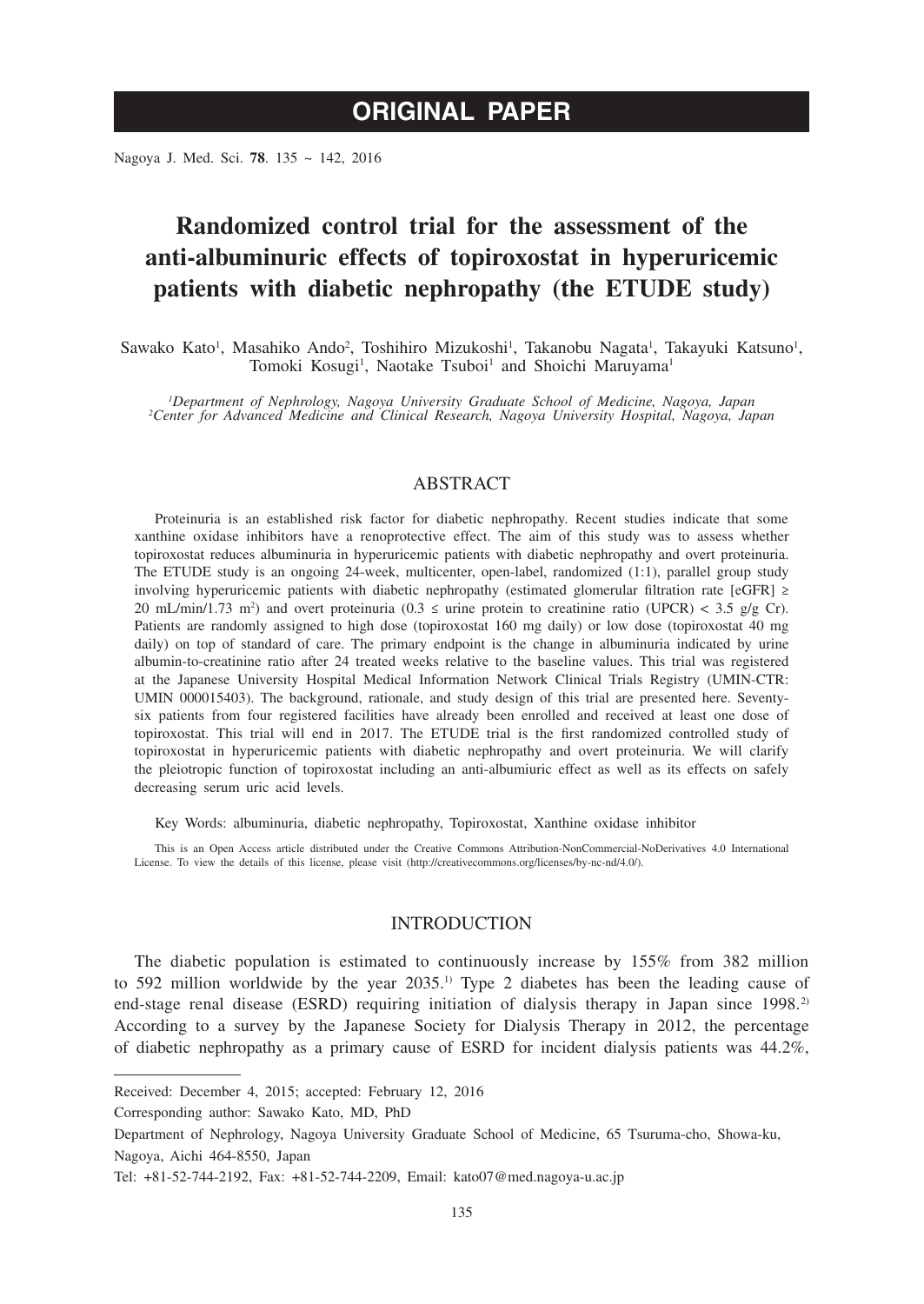Nagoya J. Med. Sci. **78**. 135 ~ 142, 2016

# **Randomized control trial for the assessment of the anti-albuminuric effects of topiroxostat in hyperuricemic patients with diabetic nephropathy (the ETUDE study)**

Sawako Kato<sup>1</sup>, Masahiko Ando<sup>2</sup>, Toshihiro Mizukoshi<sup>1</sup>, Takanobu Nagata<sup>1</sup>, Takayuki Katsuno<sup>1</sup>, Tomoki Kosugi<sup>1</sup>, Naotake Tsuboi<sup>1</sup> and Shoichi Maruyama<sup>1</sup>

*1 Department of Nephrology, Nagoya University Graduate School of Medicine, Nagoya, Japan <sup>2</sup> Center for Advanced Medicine and Clinical Research, Nagoya University Hospital, Nagoya, Japan*

# ABSTRACT

Proteinuria is an established risk factor for diabetic nephropathy. Recent studies indicate that some xanthine oxidase inhibitors have a renoprotective effect. The aim of this study was to assess whether topiroxostat reduces albuminuria in hyperuricemic patients with diabetic nephropathy and overt proteinuria. The ETUDE study is an ongoing 24-week, multicenter, open-label, randomized (1:1), parallel group study involving hyperuricemic patients with diabetic nephropathy (estimated glomerular filtration rate [eGFR] ≥ 20 mL/min/1.73 m<sup>2</sup>) and overt proteinuria (0.3  $\leq$  urine protein to creatinine ratio (UPCR)  $\lt$  3.5 g/g Cr). Patients are randomly assigned to high dose (topiroxostat 160 mg daily) or low dose (topiroxostat 40 mg daily) on top of standard of care. The primary endpoint is the change in albuminuria indicated by urine albumin-to-creatinine ratio after 24 treated weeks relative to the baseline values. This trial was registered at the Japanese University Hospital Medical Information Network Clinical Trials Registry (UMIN-CTR: UMIN 000015403). The background, rationale, and study design of this trial are presented here. Seventysix patients from four registered facilities have already been enrolled and received at least one dose of topiroxostat. This trial will end in 2017. The ETUDE trial is the first randomized controlled study of topiroxostat in hyperuricemic patients with diabetic nephropathy and overt proteinuria. We will clarify the pleiotropic function of topiroxostat including an anti-albumiuric effect as well as its effects on safely decreasing serum uric acid levels.

Key Words: albuminuria, diabetic nephropathy, Topiroxostat, Xanthine oxidase inhibitor

This is an Open Access article distributed under the Creative Commons Attribution-NonCommercial-NoDerivatives 4.0 International License. To view the details of this license, please visit (http://creativecommons.org/licenses/by-nc-nd/4.0/).

# INTRODUCTION

The diabetic population is estimated to continuously increase by 155% from 382 million to 592 million worldwide by the year  $2035<sup>1</sup>$  Type 2 diabetes has been the leading cause of end-stage renal disease (ESRD) requiring initiation of dialysis therapy in Japan since 1998.<sup>2)</sup> According to a survey by the Japanese Society for Dialysis Therapy in 2012, the percentage of diabetic nephropathy as a primary cause of ESRD for incident dialysis patients was 44.2%,

Corresponding author: Sawako Kato, MD, PhD

Received: December 4, 2015; accepted: February 12, 2016

Department of Nephrology, Nagoya University Graduate School of Medicine, 65 Tsuruma-cho, Showa-ku, Nagoya, Aichi 464-8550, Japan

Tel: +81-52-744-2192, Fax: +81-52-744-2209, Email: kato07@med.nagoya-u.ac.jp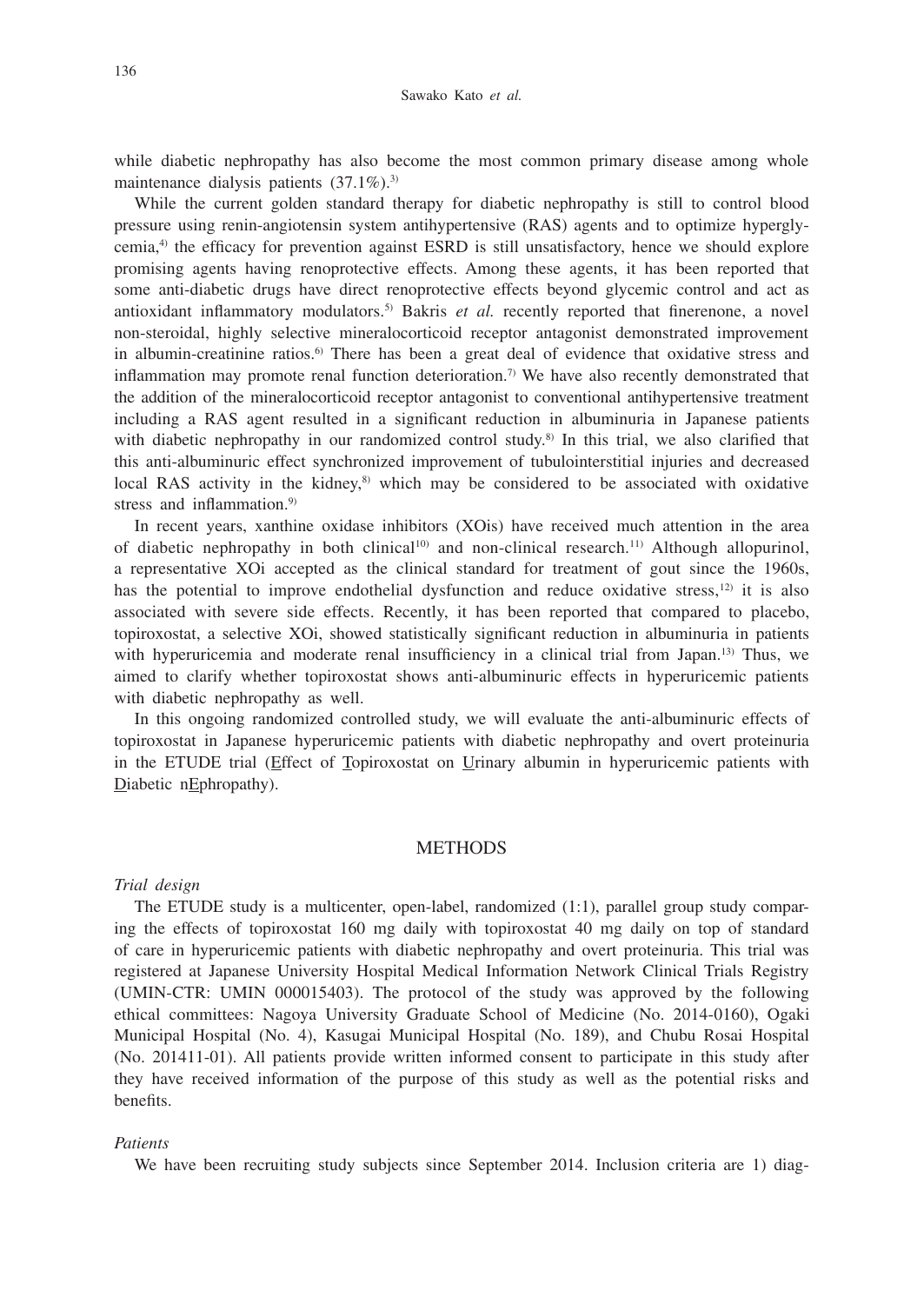#### Sawako Kato *et al.*

while diabetic nephropathy has also become the most common primary disease among whole maintenance dialysis patients  $(37.1\%)$ .<sup>3)</sup>

While the current golden standard therapy for diabetic nephropathy is still to control blood pressure using renin-angiotensin system antihypertensive (RAS) agents and to optimize hyperglycemia,4) the efficacy for prevention against ESRD is still unsatisfactory, hence we should explore promising agents having renoprotective effects. Among these agents, it has been reported that some anti-diabetic drugs have direct renoprotective effects beyond glycemic control and act as antioxidant inflammatory modulators.5) Bakris *et al.* recently reported that finerenone, a novel non-steroidal, highly selective mineralocorticoid receptor antagonist demonstrated improvement in albumin-creatinine ratios.<sup>6)</sup> There has been a great deal of evidence that oxidative stress and inflammation may promote renal function deterioration.<sup>7)</sup> We have also recently demonstrated that the addition of the mineralocorticoid receptor antagonist to conventional antihypertensive treatment including a RAS agent resulted in a significant reduction in albuminuria in Japanese patients with diabetic nephropathy in our randomized control study.<sup>8)</sup> In this trial, we also clarified that this anti-albuminuric effect synchronized improvement of tubulointerstitial injuries and decreased local RAS activity in the kidney, $8$ ) which may be considered to be associated with oxidative stress and inflammation.<sup>9)</sup>

In recent years, xanthine oxidase inhibitors (XOis) have received much attention in the area of diabetic nephropathy in both clinical<sup>10)</sup> and non-clinical research.<sup>11)</sup> Although allopurinol, a representative XOi accepted as the clinical standard for treatment of gout since the 1960s, has the potential to improve endothelial dysfunction and reduce oxidative stress,<sup>12)</sup> it is also associated with severe side effects. Recently, it has been reported that compared to placebo, topiroxostat, a selective XOi, showed statistically significant reduction in albuminuria in patients with hyperuricemia and moderate renal insufficiency in a clinical trial from Japan.<sup>13)</sup> Thus, we aimed to clarify whether topiroxostat shows anti-albuminuric effects in hyperuricemic patients with diabetic nephropathy as well.

In this ongoing randomized controlled study, we will evaluate the anti-albuminuric effects of topiroxostat in Japanese hyperuricemic patients with diabetic nephropathy and overt proteinuria in the ETUDE trial (Effect of Topiroxostat on Urinary albumin in hyperuricemic patients with Diabetic nEphropathy).

## **METHODS**

#### *Trial design*

The ETUDE study is a multicenter, open-label, randomized (1:1), parallel group study comparing the effects of topiroxostat 160 mg daily with topiroxostat 40 mg daily on top of standard of care in hyperuricemic patients with diabetic nephropathy and overt proteinuria. This trial was registered at Japanese University Hospital Medical Information Network Clinical Trials Registry (UMIN-CTR: UMIN 000015403). The protocol of the study was approved by the following ethical committees: Nagoya University Graduate School of Medicine (No. 2014-0160), Ogaki Municipal Hospital (No. 4), Kasugai Municipal Hospital (No. 189), and Chubu Rosai Hospital (No. 201411-01). All patients provide written informed consent to participate in this study after they have received information of the purpose of this study as well as the potential risks and benefits.

#### *Patients*

We have been recruiting study subjects since September 2014. Inclusion criteria are 1) diag-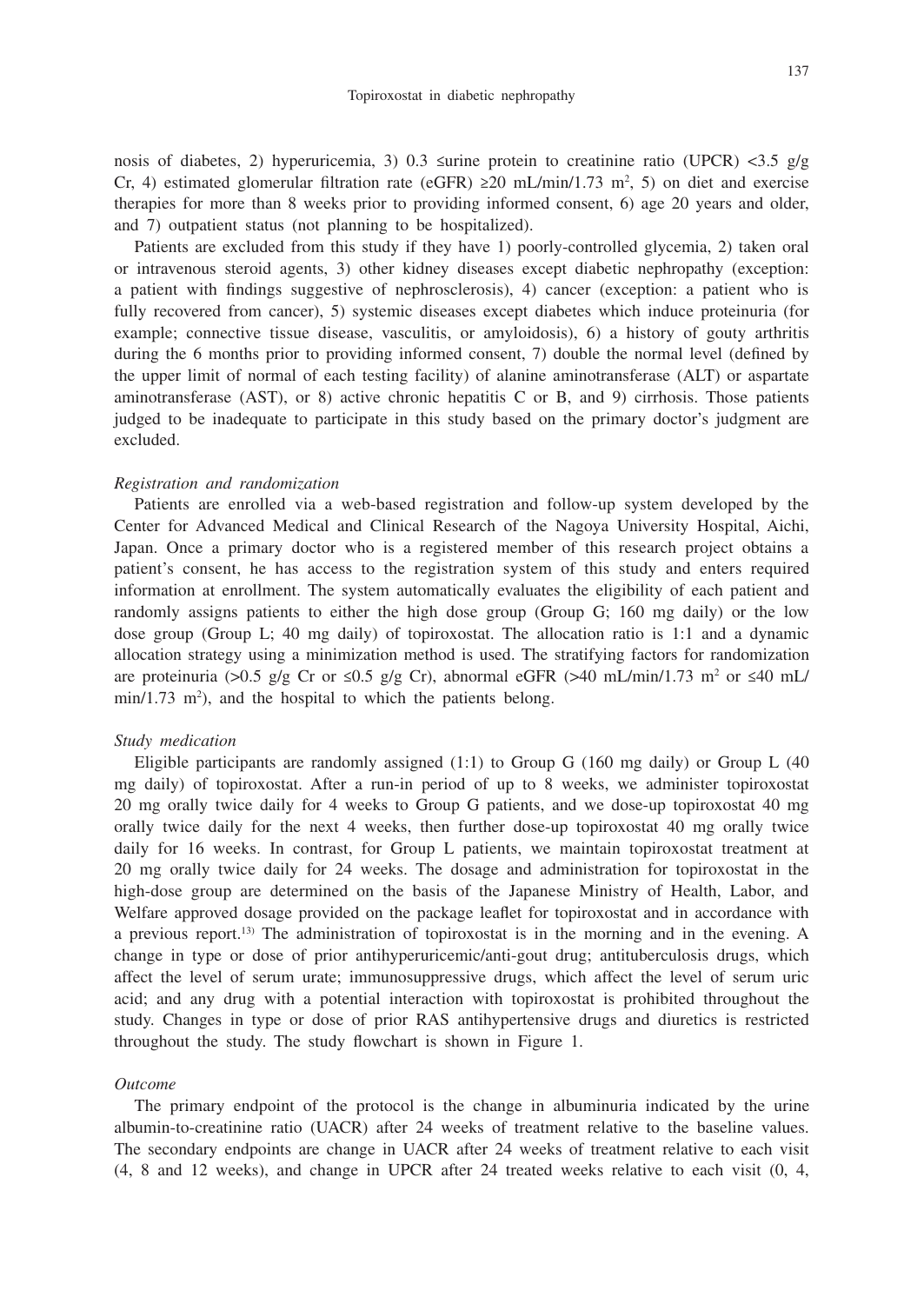nosis of diabetes, 2) hyperuricemia, 3) 0.3 ≤urine protein to creatinine ratio (UPCR) <3.5 g/g Cr, 4) estimated glomerular filtration rate (eGFR)  $\geq 20$  mL/min/1.73 m<sup>2</sup>, 5) on diet and exercise therapies for more than 8 weeks prior to providing informed consent, 6) age 20 years and older, and 7) outpatient status (not planning to be hospitalized).

Patients are excluded from this study if they have 1) poorly-controlled glycemia, 2) taken oral or intravenous steroid agents, 3) other kidney diseases except diabetic nephropathy (exception: a patient with findings suggestive of nephrosclerosis), 4) cancer (exception: a patient who is fully recovered from cancer), 5) systemic diseases except diabetes which induce proteinuria (for example; connective tissue disease, vasculitis, or amyloidosis), 6) a history of gouty arthritis during the 6 months prior to providing informed consent, 7) double the normal level (defined by the upper limit of normal of each testing facility) of alanine aminotransferase (ALT) or aspartate aminotransferase (AST), or 8) active chronic hepatitis C or B, and 9) cirrhosis. Those patients judged to be inadequate to participate in this study based on the primary doctor's judgment are excluded.

### *Registration and randomization*

Patients are enrolled via a web-based registration and follow-up system developed by the Center for Advanced Medical and Clinical Research of the Nagoya University Hospital, Aichi, Japan. Once a primary doctor who is a registered member of this research project obtains a patient's consent, he has access to the registration system of this study and enters required information at enrollment. The system automatically evaluates the eligibility of each patient and randomly assigns patients to either the high dose group (Group G; 160 mg daily) or the low dose group (Group L; 40 mg daily) of topiroxostat. The allocation ratio is 1:1 and a dynamic allocation strategy using a minimization method is used. The stratifying factors for randomization are proteinuria (>0.5 g/g Cr or ≤0.5 g/g Cr), abnormal eGFR (>40 mL/min/1.73 m<sup>2</sup> or ≤40 mL/  $min/1.73$   $m^2$ ), and the hospital to which the patients belong.

## *Study medication*

Eligible participants are randomly assigned (1:1) to Group G (160 mg daily) or Group L (40 mg daily) of topiroxostat. After a run-in period of up to 8 weeks, we administer topiroxostat 20 mg orally twice daily for 4 weeks to Group G patients, and we dose-up topiroxostat 40 mg orally twice daily for the next 4 weeks, then further dose-up topiroxostat 40 mg orally twice daily for 16 weeks. In contrast, for Group L patients, we maintain topiroxostat treatment at 20 mg orally twice daily for 24 weeks. The dosage and administration for topiroxostat in the high-dose group are determined on the basis of the Japanese Ministry of Health, Labor, and Welfare approved dosage provided on the package leaflet for topiroxostat and in accordance with a previous report.13) The administration of topiroxostat is in the morning and in the evening. A change in type or dose of prior antihyperuricemic/anti-gout drug; antituberculosis drugs, which affect the level of serum urate; immunosuppressive drugs, which affect the level of serum uric acid; and any drug with a potential interaction with topiroxostat is prohibited throughout the study. Changes in type or dose of prior RAS antihypertensive drugs and diuretics is restricted throughout the study. The study flowchart is shown in Figure 1.

#### *Outcome*

The primary endpoint of the protocol is the change in albuminuria indicated by the urine albumin-to-creatinine ratio (UACR) after 24 weeks of treatment relative to the baseline values. The secondary endpoints are change in UACR after 24 weeks of treatment relative to each visit (4, 8 and 12 weeks), and change in UPCR after 24 treated weeks relative to each visit (0, 4,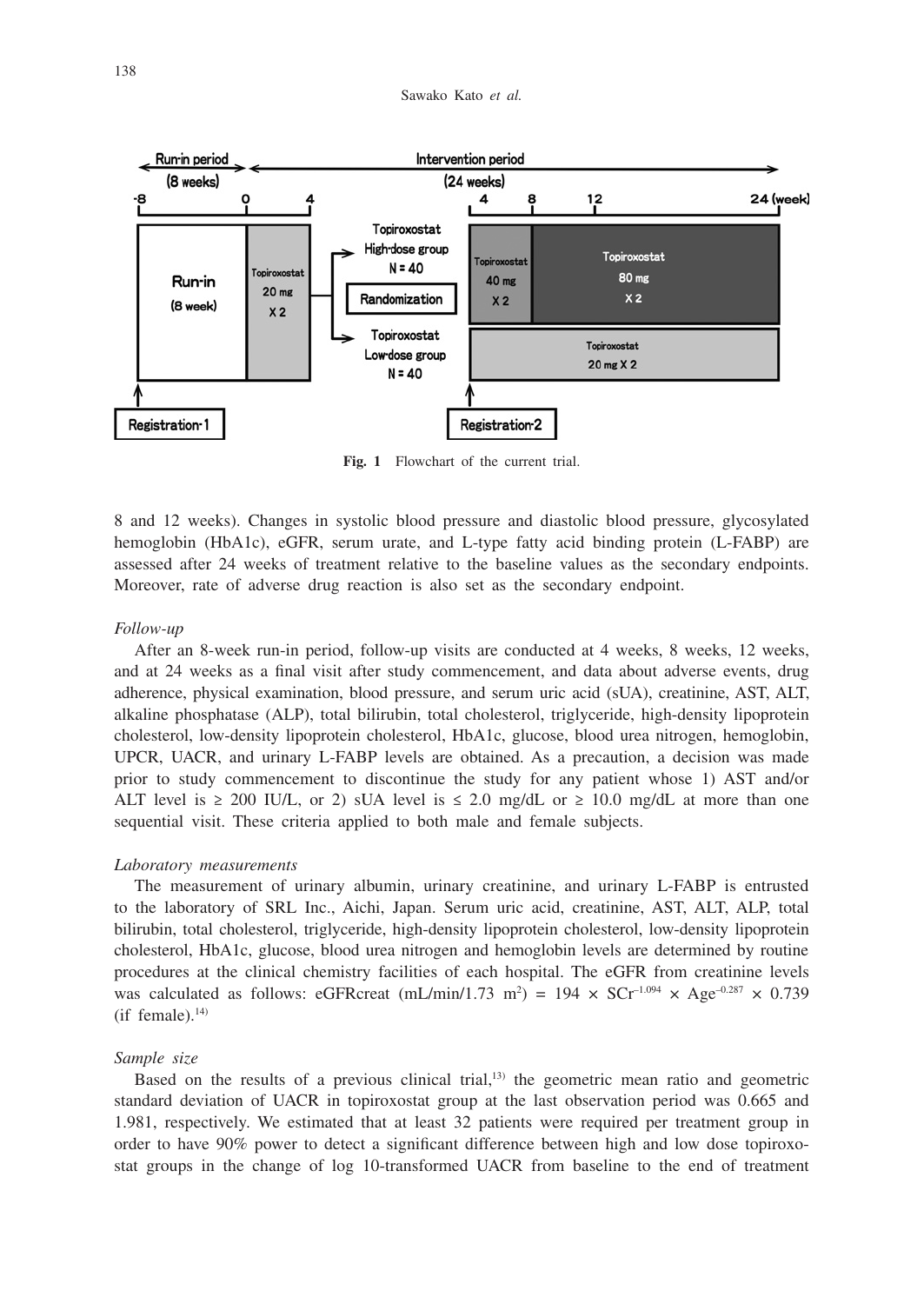

**Fig. 1** Flowchart of the current trial.

8 and 12 weeks). Changes in systolic blood pressure and diastolic blood pressure, glycosylated hemoglobin (HbA1c), eGFR, serum urate, and L-type fatty acid binding protein (L-FABP) are assessed after 24 weeks of treatment relative to the baseline values as the secondary endpoints. Moreover, rate of adverse drug reaction is also set as the secondary endpoint.

### *Follow-up*

After an 8-week run-in period, follow-up visits are conducted at 4 weeks, 8 weeks, 12 weeks, and at 24 weeks as a final visit after study commencement, and data about adverse events, drug adherence, physical examination, blood pressure, and serum uric acid (sUA), creatinine, AST, ALT, alkaline phosphatase (ALP), total bilirubin, total cholesterol, triglyceride, high-density lipoprotein cholesterol, low-density lipoprotein cholesterol, HbA1c, glucose, blood urea nitrogen, hemoglobin, UPCR, UACR, and urinary L-FABP levels are obtained. As a precaution, a decision was made prior to study commencement to discontinue the study for any patient whose 1) AST and/or ALT level is  $\geq 200$  IU/L, or 2) sUA level is  $\leq 2.0$  mg/dL or  $\geq 10.0$  mg/dL at more than one sequential visit. These criteria applied to both male and female subjects.

#### *Laboratory measurements*

The measurement of urinary albumin, urinary creatinine, and urinary L-FABP is entrusted to the laboratory of SRL Inc., Aichi, Japan. Serum uric acid, creatinine, AST, ALT, ALP, total bilirubin, total cholesterol, triglyceride, high-density lipoprotein cholesterol, low-density lipoprotein cholesterol, HbA1c, glucose, blood urea nitrogen and hemoglobin levels are determined by routine procedures at the clinical chemistry facilities of each hospital. The eGFR from creatinine levels was calculated as follows: eGFRcreat  $(mL/min/1.73 \text{ m}^2) = 194 \times \text{SCr}^{-1.094} \times \text{Age}^{-0.287} \times 0.739$  $(i$ f female).<sup>14)</sup>

#### *Sample size*

Based on the results of a previous clinical trial,13) the geometric mean ratio and geometric standard deviation of UACR in topiroxostat group at the last observation period was 0.665 and 1.981, respectively. We estimated that at least 32 patients were required per treatment group in order to have 90% power to detect a significant difference between high and low dose topiroxostat groups in the change of log 10-transformed UACR from baseline to the end of treatment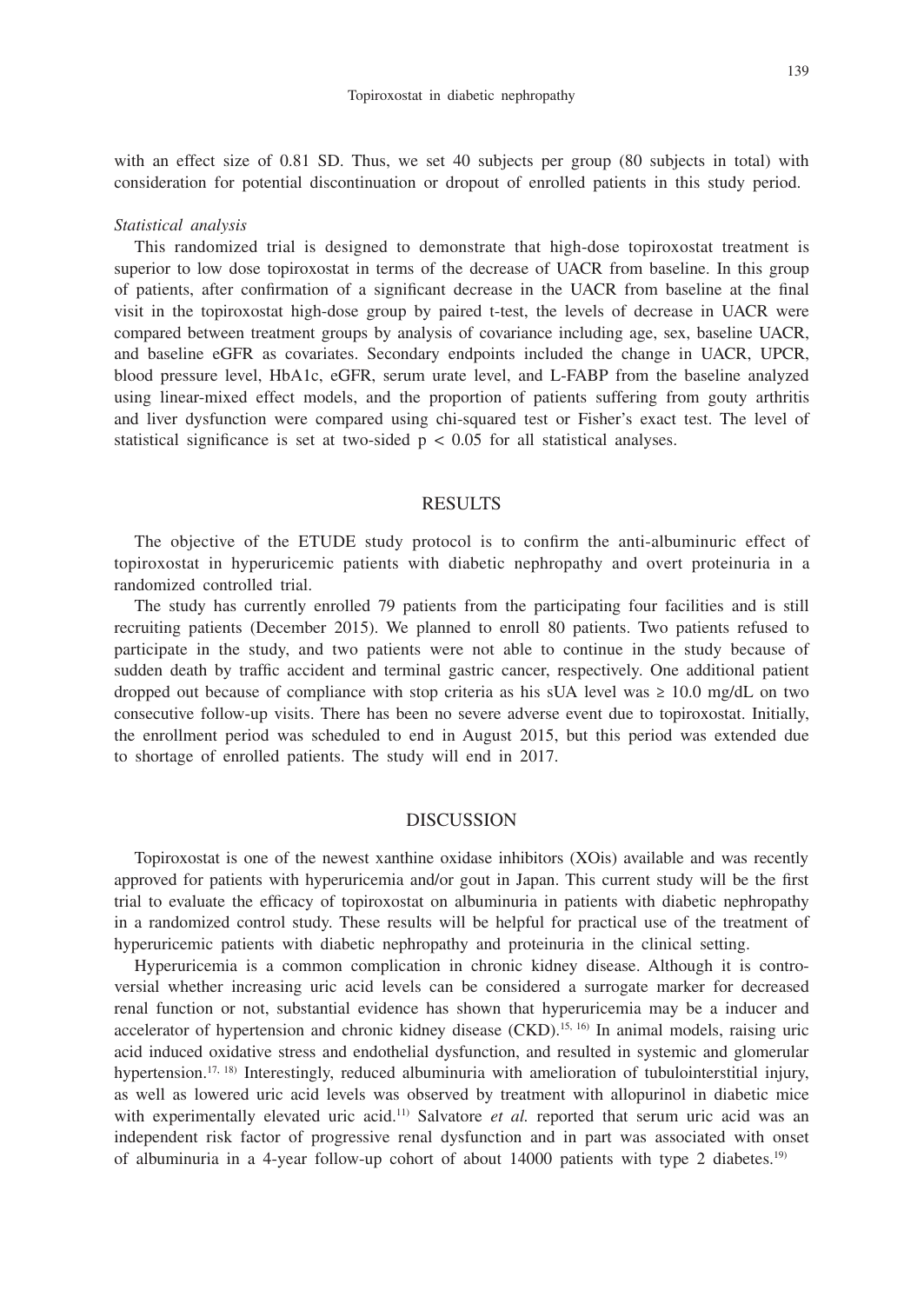with an effect size of 0.81 SD. Thus, we set 40 subjects per group (80 subjects in total) with consideration for potential discontinuation or dropout of enrolled patients in this study period.

#### *Statistical analysis*

This randomized trial is designed to demonstrate that high-dose topiroxostat treatment is superior to low dose topiroxostat in terms of the decrease of UACR from baseline. In this group of patients, after confirmation of a significant decrease in the UACR from baseline at the final visit in the topiroxostat high-dose group by paired t-test, the levels of decrease in UACR were compared between treatment groups by analysis of covariance including age, sex, baseline UACR, and baseline eGFR as covariates. Secondary endpoints included the change in UACR, UPCR, blood pressure level, HbA1c, eGFR, serum urate level, and L-FABP from the baseline analyzed using linear-mixed effect models, and the proportion of patients suffering from gouty arthritis and liver dysfunction were compared using chi-squared test or Fisher's exact test. The level of statistical significance is set at two-sided  $p < 0.05$  for all statistical analyses.

## RESULTS

The objective of the ETUDE study protocol is to confirm the anti-albuminuric effect of topiroxostat in hyperuricemic patients with diabetic nephropathy and overt proteinuria in a randomized controlled trial.

The study has currently enrolled 79 patients from the participating four facilities and is still recruiting patients (December 2015). We planned to enroll 80 patients. Two patients refused to participate in the study, and two patients were not able to continue in the study because of sudden death by traffic accident and terminal gastric cancer, respectively. One additional patient dropped out because of compliance with stop criteria as his sUA level was  $\geq 10.0$  mg/dL on two consecutive follow-up visits. There has been no severe adverse event due to topiroxostat. Initially, the enrollment period was scheduled to end in August 2015, but this period was extended due to shortage of enrolled patients. The study will end in 2017.

## DISCUSSION

Topiroxostat is one of the newest xanthine oxidase inhibitors (XOis) available and was recently approved for patients with hyperuricemia and/or gout in Japan. This current study will be the first trial to evaluate the efficacy of topiroxostat on albuminuria in patients with diabetic nephropathy in a randomized control study. These results will be helpful for practical use of the treatment of hyperuricemic patients with diabetic nephropathy and proteinuria in the clinical setting.

Hyperuricemia is a common complication in chronic kidney disease. Although it is controversial whether increasing uric acid levels can be considered a surrogate marker for decreased renal function or not, substantial evidence has shown that hyperuricemia may be a inducer and accelerator of hypertension and chronic kidney disease (CKD).<sup>15, 16</sup> In animal models, raising uric acid induced oxidative stress and endothelial dysfunction, and resulted in systemic and glomerular hypertension.17, 18) Interestingly, reduced albuminuria with amelioration of tubulointerstitial injury, as well as lowered uric acid levels was observed by treatment with allopurinol in diabetic mice with experimentally elevated uric acid.<sup>11)</sup> Salvatore *et al.* reported that serum uric acid was an independent risk factor of progressive renal dysfunction and in part was associated with onset of albuminuria in a 4-year follow-up cohort of about 14000 patients with type 2 diabetes.19)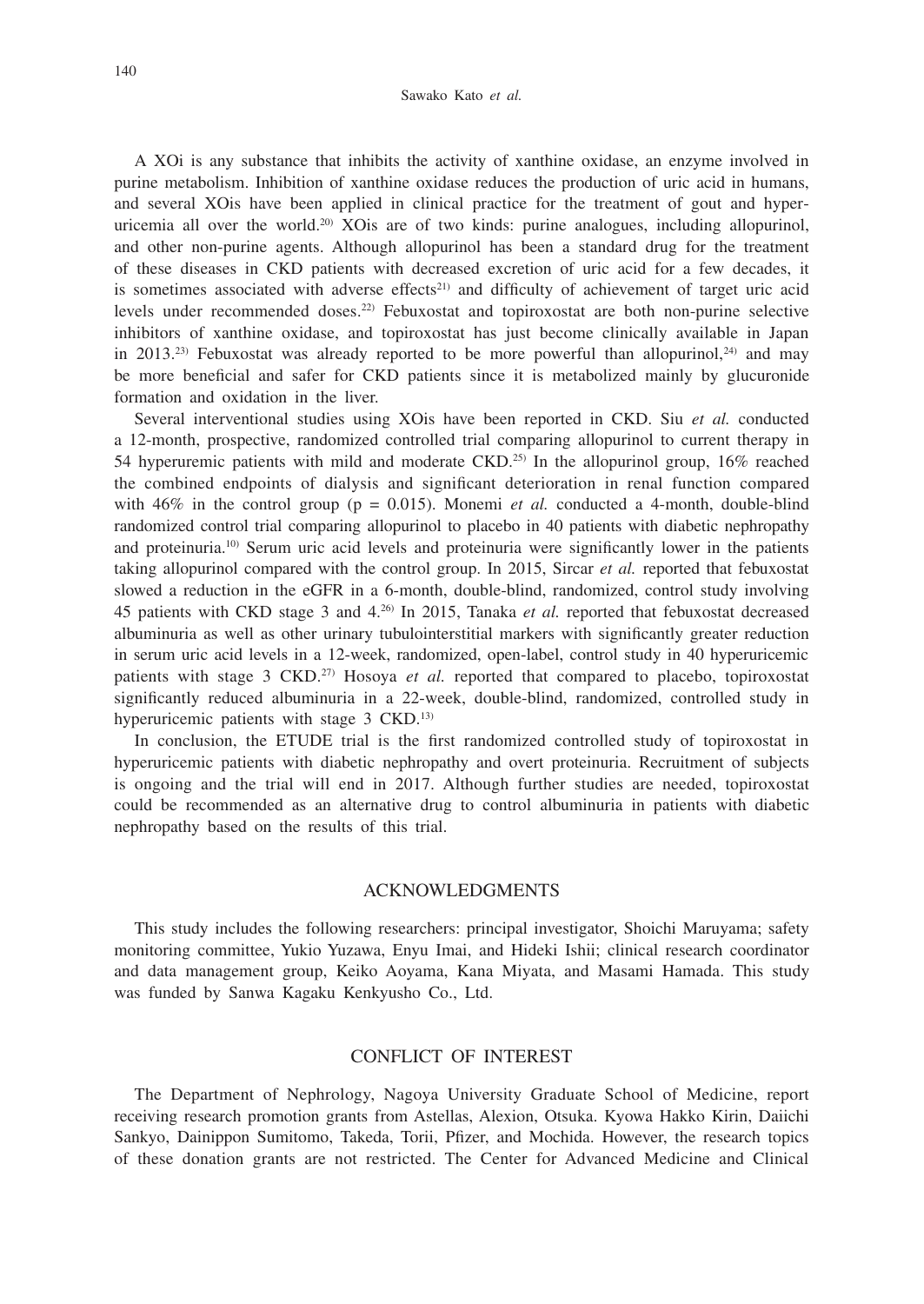A XOi is any substance that inhibits the activity of xanthine oxidase, an enzyme involved in purine metabolism. Inhibition of xanthine oxidase reduces the production of uric acid in humans, and several XOis have been applied in clinical practice for the treatment of gout and hyperuricemia all over the world.20) XOis are of two kinds: purine analogues, including allopurinol, and other non-purine agents. Although allopurinol has been a standard drug for the treatment of these diseases in CKD patients with decreased excretion of uric acid for a few decades, it is sometimes associated with adverse effects<sup>21)</sup> and difficulty of achievement of target uric acid levels under recommended doses.22) Febuxostat and topiroxostat are both non-purine selective inhibitors of xanthine oxidase, and topiroxostat has just become clinically available in Japan in 2013.<sup>23)</sup> Febuxostat was already reported to be more powerful than allopurinol.<sup>24)</sup> and may be more beneficial and safer for CKD patients since it is metabolized mainly by glucuronide formation and oxidation in the liver.

Several interventional studies using XOis have been reported in CKD. Siu *et al.* conducted a 12-month, prospective, randomized controlled trial comparing allopurinol to current therapy in 54 hyperuremic patients with mild and moderate CKD.25) In the allopurinol group, 16% reached the combined endpoints of dialysis and significant deterioration in renal function compared with  $46\%$  in the control group ( $p = 0.015$ ). Monemi *et al.* conducted a 4-month, double-blind randomized control trial comparing allopurinol to placebo in 40 patients with diabetic nephropathy and proteinuria.<sup>10)</sup> Serum uric acid levels and proteinuria were significantly lower in the patients taking allopurinol compared with the control group. In 2015, Sircar *et al.* reported that febuxostat slowed a reduction in the eGFR in a 6-month, double-blind, randomized, control study involving 45 patients with CKD stage 3 and 4.26) In 2015, Tanaka *et al.* reported that febuxostat decreased albuminuria as well as other urinary tubulointerstitial markers with significantly greater reduction in serum uric acid levels in a 12-week, randomized, open-label, control study in 40 hyperuricemic patients with stage 3 CKD.<sup>27)</sup> Hosoya *et al.* reported that compared to placebo, topiroxostat significantly reduced albuminuria in a 22-week, double-blind, randomized, controlled study in hyperuricemic patients with stage 3 CKD.<sup>13)</sup>

In conclusion, the ETUDE trial is the first randomized controlled study of topiroxostat in hyperuricemic patients with diabetic nephropathy and overt proteinuria. Recruitment of subjects is ongoing and the trial will end in 2017. Although further studies are needed, topiroxostat could be recommended as an alternative drug to control albuminuria in patients with diabetic nephropathy based on the results of this trial.

## ACKNOWLEDGMENTS

This study includes the following researchers: principal investigator, Shoichi Maruyama; safety monitoring committee, Yukio Yuzawa, Enyu Imai, and Hideki Ishii; clinical research coordinator and data management group, Keiko Aoyama, Kana Miyata, and Masami Hamada. This study was funded by Sanwa Kagaku Kenkyusho Co., Ltd.

# CONFLICT OF INTEREST

The Department of Nephrology, Nagoya University Graduate School of Medicine, report receiving research promotion grants from Astellas, Alexion, Otsuka. Kyowa Hakko Kirin, Daiichi Sankyo, Dainippon Sumitomo, Takeda, Torii, Pfizer, and Mochida. However, the research topics of these donation grants are not restricted. The Center for Advanced Medicine and Clinical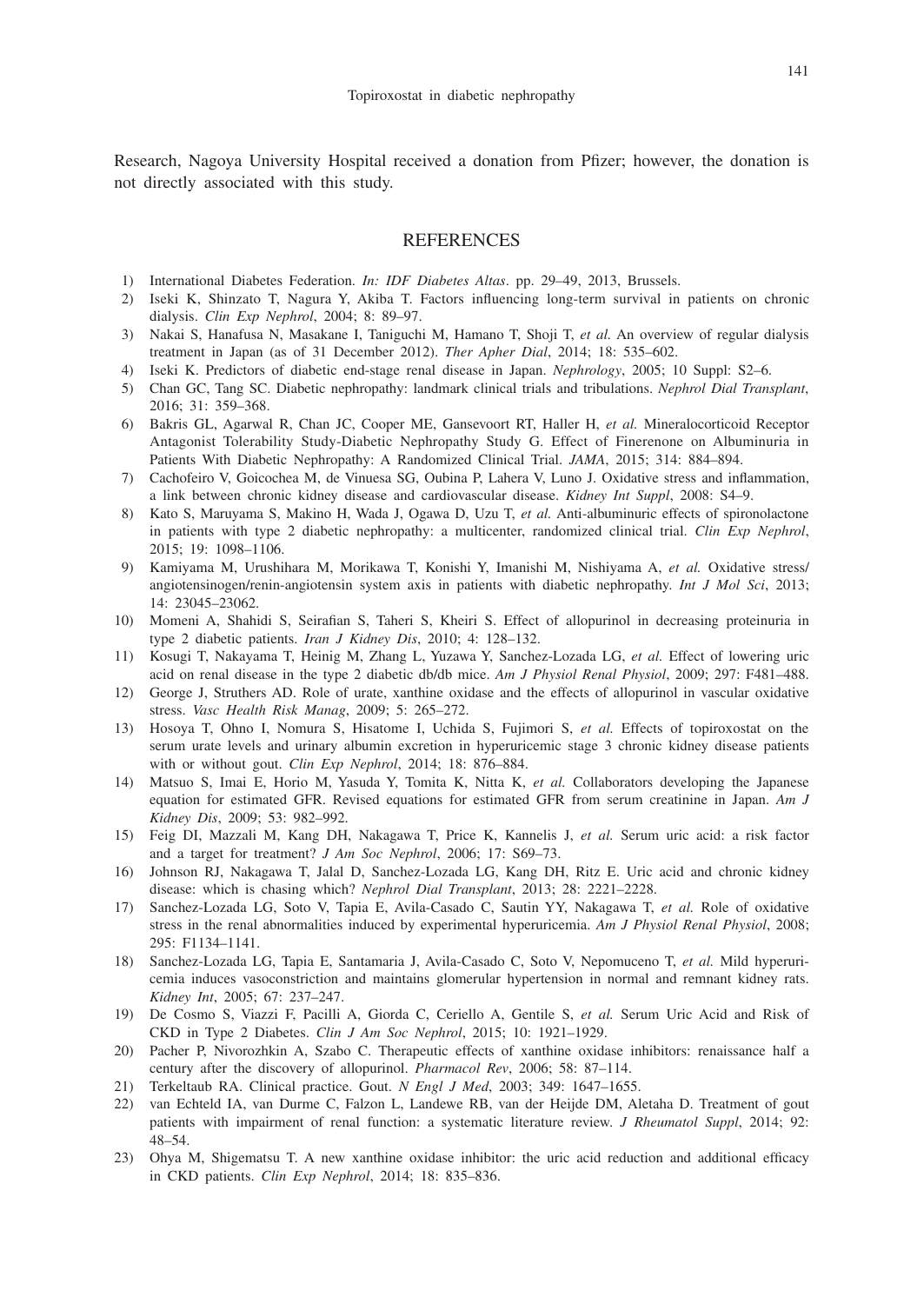Research, Nagoya University Hospital received a donation from Pfizer; however, the donation is not directly associated with this study.

## REFERENCES

- 1) International Diabetes Federation. *In: IDF Diabetes Altas*. pp. 29–49, 2013, Brussels.
- 2) Iseki K, Shinzato T, Nagura Y, Akiba T. Factors influencing long-term survival in patients on chronic dialysis. *Clin Exp Nephrol*, 2004; 8: 89–97.
- 3) Nakai S, Hanafusa N, Masakane I, Taniguchi M, Hamano T, Shoji T, *et al.* An overview of regular dialysis treatment in Japan (as of 31 December 2012). *Ther Apher Dial*, 2014; 18: 535–602.
- 4) Iseki K. Predictors of diabetic end-stage renal disease in Japan. *Nephrology*, 2005; 10 Suppl: S2–6.
- 5) Chan GC, Tang SC. Diabetic nephropathy: landmark clinical trials and tribulations. *Nephrol Dial Transplant*, 2016; 31: 359–368.
- 6) Bakris GL, Agarwal R, Chan JC, Cooper ME, Gansevoort RT, Haller H, *et al.* Mineralocorticoid Receptor Antagonist Tolerability Study-Diabetic Nephropathy Study G. Effect of Finerenone on Albuminuria in Patients With Diabetic Nephropathy: A Randomized Clinical Trial. *JAMA*, 2015; 314: 884–894.
- 7) Cachofeiro V, Goicochea M, de Vinuesa SG, Oubina P, Lahera V, Luno J. Oxidative stress and inflammation, a link between chronic kidney disease and cardiovascular disease. *Kidney Int Suppl*, 2008: S4–9.
- 8) Kato S, Maruyama S, Makino H, Wada J, Ogawa D, Uzu T, *et al.* Anti-albuminuric effects of spironolactone in patients with type 2 diabetic nephropathy: a multicenter, randomized clinical trial. *Clin Exp Nephrol*, 2015; 19: 1098–1106.
- 9) Kamiyama M, Urushihara M, Morikawa T, Konishi Y, Imanishi M, Nishiyama A, *et al.* Oxidative stress/ angiotensinogen/renin-angiotensin system axis in patients with diabetic nephropathy. *Int J Mol Sci*, 2013; 14: 23045–23062.
- 10) Momeni A, Shahidi S, Seirafian S, Taheri S, Kheiri S. Effect of allopurinol in decreasing proteinuria in type 2 diabetic patients. *Iran J Kidney Dis*, 2010; 4: 128–132.
- 11) Kosugi T, Nakayama T, Heinig M, Zhang L, Yuzawa Y, Sanchez-Lozada LG, *et al.* Effect of lowering uric acid on renal disease in the type 2 diabetic db/db mice. *Am J Physiol Renal Physiol*, 2009; 297: F481–488.
- 12) George J, Struthers AD. Role of urate, xanthine oxidase and the effects of allopurinol in vascular oxidative stress. *Vasc Health Risk Manag*, 2009; 5: 265–272.
- 13) Hosoya T, Ohno I, Nomura S, Hisatome I, Uchida S, Fujimori S, *et al.* Effects of topiroxostat on the serum urate levels and urinary albumin excretion in hyperuricemic stage 3 chronic kidney disease patients with or without gout. *Clin Exp Nephrol*, 2014; 18: 876–884.
- 14) Matsuo S, Imai E, Horio M, Yasuda Y, Tomita K, Nitta K, *et al.* Collaborators developing the Japanese equation for estimated GFR. Revised equations for estimated GFR from serum creatinine in Japan. *Am J Kidney Dis*, 2009; 53: 982–992.
- 15) Feig DI, Mazzali M, Kang DH, Nakagawa T, Price K, Kannelis J, *et al.* Serum uric acid: a risk factor and a target for treatment? *J Am Soc Nephrol*, 2006; 17: S69–73.
- 16) Johnson RJ, Nakagawa T, Jalal D, Sanchez-Lozada LG, Kang DH, Ritz E. Uric acid and chronic kidney disease: which is chasing which? *Nephrol Dial Transplant*, 2013; 28: 2221–2228.
- 17) Sanchez-Lozada LG, Soto V, Tapia E, Avila-Casado C, Sautin YY, Nakagawa T, *et al.* Role of oxidative stress in the renal abnormalities induced by experimental hyperuricemia. *Am J Physiol Renal Physiol*, 2008; 295: F1134–1141.
- 18) Sanchez-Lozada LG, Tapia E, Santamaria J, Avila-Casado C, Soto V, Nepomuceno T, *et al.* Mild hyperuricemia induces vasoconstriction and maintains glomerular hypertension in normal and remnant kidney rats. *Kidney Int*, 2005; 67: 237–247.
- 19) De Cosmo S, Viazzi F, Pacilli A, Giorda C, Ceriello A, Gentile S, *et al.* Serum Uric Acid and Risk of CKD in Type 2 Diabetes. *Clin J Am Soc Nephrol*, 2015; 10: 1921–1929.
- 20) Pacher P, Nivorozhkin A, Szabo C. Therapeutic effects of xanthine oxidase inhibitors: renaissance half a century after the discovery of allopurinol. *Pharmacol Rev*, 2006; 58: 87–114.
- 21) Terkeltaub RA. Clinical practice. Gout. *N Engl J Med*, 2003; 349: 1647–1655.
- 22) van Echteld IA, van Durme C, Falzon L, Landewe RB, van der Heijde DM, Aletaha D. Treatment of gout patients with impairment of renal function: a systematic literature review. *J Rheumatol Suppl*, 2014; 92: 48–54.
- 23) Ohya M, Shigematsu T. A new xanthine oxidase inhibitor: the uric acid reduction and additional efficacy in CKD patients. *Clin Exp Nephrol*, 2014; 18: 835–836.